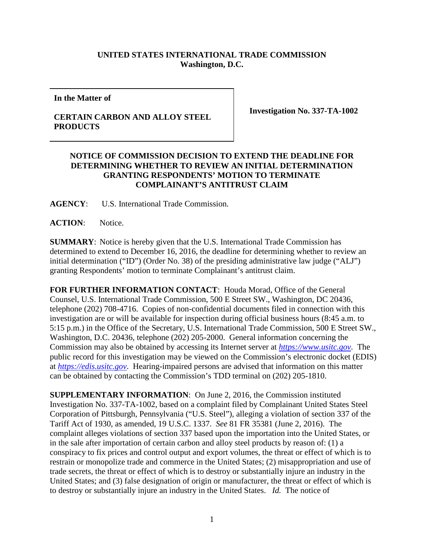## **UNITED STATES INTERNATIONAL TRADE COMMISSION Washington, D.C.**

**In the Matter of**

**CERTAIN CARBON AND ALLOY STEEL PRODUCTS**

**Investigation No. 337-TA-1002**

## **NOTICE OF COMMISSION DECISION TO EXTEND THE DEADLINE FOR DETERMINING WHETHER TO REVIEW AN INITIAL DETERMINATION GRANTING RESPONDENTS' MOTION TO TERMINATE COMPLAINANT'S ANTITRUST CLAIM**

**AGENCY**: U.S. International Trade Commission.

**ACTION**: Notice.

**SUMMARY**: Notice is hereby given that the U.S. International Trade Commission has determined to extend to December 16, 2016, the deadline for determining whether to review an initial determination ("ID") (Order No. 38) of the presiding administrative law judge ("ALJ") granting Respondents' motion to terminate Complainant's antitrust claim.

**FOR FURTHER INFORMATION CONTACT**: Houda Morad, Office of the General Counsel, U.S. International Trade Commission, 500 E Street SW., Washington, DC 20436, telephone (202) 708-4716. Copies of non-confidential documents filed in connection with this investigation are or will be available for inspection during official business hours (8:45 a.m. to 5:15 p.m.) in the Office of the Secretary, U.S. International Trade Commission, 500 E Street SW., Washington, D.C. 20436, telephone (202) 205-2000. General information concerning the Commission may also be obtained by accessing its Internet server at *[https://www.usitc.gov](https://www.usitc.gov/)*. The public record for this investigation may be viewed on the Commission's electronic docket (EDIS) at *[https://edis.usitc.gov](http://edis.usitc.gov/)*. Hearing-impaired persons are advised that information on this matter can be obtained by contacting the Commission's TDD terminal on (202) 205-1810.

**SUPPLEMENTARY INFORMATION**: On June 2, 2016, the Commission instituted Investigation No. 337-TA-1002, based on a complaint filed by Complainant United States Steel Corporation of Pittsburgh, Pennsylvania ("U.S. Steel"), alleging a violation of section 337 of the Tariff Act of 1930, as amended, 19 U.S.C. 1337. *See* 81 FR 35381 (June 2, 2016). The complaint alleges violations of section 337 based upon the importation into the United States, or in the sale after importation of certain carbon and alloy steel products by reason of: (1) a conspiracy to fix prices and control output and export volumes, the threat or effect of which is to restrain or monopolize trade and commerce in the United States; (2) misappropriation and use of trade secrets, the threat or effect of which is to destroy or substantially injure an industry in the United States; and (3) false designation of origin or manufacturer, the threat or effect of which is to destroy or substantially injure an industry in the United States. *Id.* The notice of